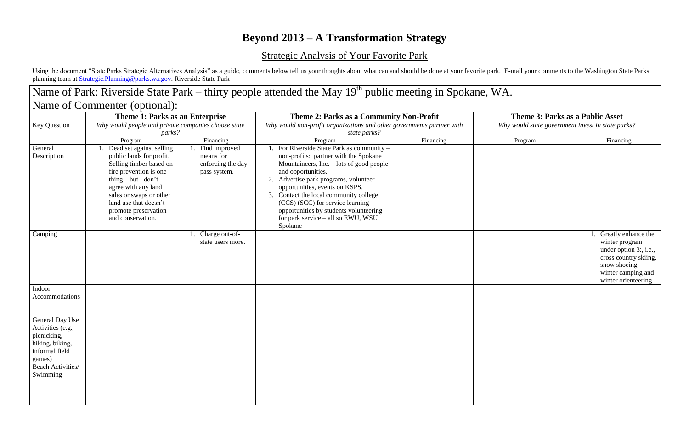# **Beyond 2013 – A Transformation Strategy**

## Strategic Analysis of Your Favorite Park

Using the document "State Parks Strategic Alternatives Analysis" as a guide, comments below tell us your thoughts about what can and should be done at your favorite park. E-mail your comments to the Washington State Parks planning team at [Strategic.Planning@parks.wa.gov.](mailto:Strategic.Planning@parks.wa.gov) Riverside State Park

### Name of Park: Riverside State Park – thirty people attended the May 19<sup>th</sup> public meeting in Spokane, WA. Name of Commenter (optional): **Theme 1: Parks as an Enterprise Theme 2: Parks as a Community Non-Profit Theme 3: Parks as a Public Asset** Key Question *Why would people and private companies choose state parks? Why would non-profit organizations and other governments partner with state parks? Why would state government invest in state parks?* Program Networks and Program Research Program Research Program Program Program Program Program Rinancing General Description 1. Dead set against selling public lands for profit. Selling timber based on fire prevention is one thing – but I don't agree with any land sales or swaps or other land use that doesn't promote preservation and conservation. 1. Find improved means for enforcing the day pass system. 1. For Riverside State Park as community – non-profits: partner with the Spokane Mountaineers, Inc. – lots of good people and opportunities. 2. Advertise park programs, volunteer opportunities, events on KSPS. 3. Contact the local community college (CCS) (SCC) for service learning opportunities by students volunteering for park service – all so EWU, WSU Spokane Camping 2.1. Charge out-ofstate users more. Indoor Accommodations General Day Use Activities (e.g., picnicking, hiking, biking, informal field games) Beach Activities/ Swimming

| Program | Financing                                                                                                                                                 |  |  |  |  |
|---------|-----------------------------------------------------------------------------------------------------------------------------------------------------------|--|--|--|--|
|         |                                                                                                                                                           |  |  |  |  |
|         | 1. Greatly enhance the<br>winter program<br>under option 3:, i.e.,<br>cross country skiing,<br>snow shoeing,<br>winter camping and<br>winter orienteering |  |  |  |  |
|         |                                                                                                                                                           |  |  |  |  |
|         |                                                                                                                                                           |  |  |  |  |
|         |                                                                                                                                                           |  |  |  |  |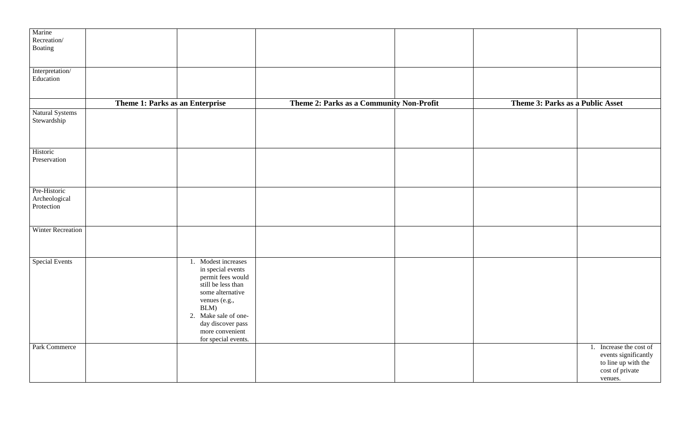| Marine                          |                      |                                          |                                             |
|---------------------------------|----------------------|------------------------------------------|---------------------------------------------|
| Recreation/                     |                      |                                          |                                             |
|                                 |                      |                                          |                                             |
| Boating                         |                      |                                          |                                             |
|                                 |                      |                                          |                                             |
|                                 |                      |                                          |                                             |
|                                 |                      |                                          |                                             |
| Interpretation/                 |                      |                                          |                                             |
| Education                       |                      |                                          |                                             |
|                                 |                      |                                          |                                             |
|                                 |                      |                                          |                                             |
|                                 |                      |                                          |                                             |
|                                 |                      |                                          |                                             |
| Theme 1: Parks as an Enterprise |                      | Theme 2: Parks as a Community Non-Profit | Theme 3: Parks as a Public Asset            |
| Natural Systems                 |                      |                                          |                                             |
|                                 |                      |                                          |                                             |
| Stewardship                     |                      |                                          |                                             |
|                                 |                      |                                          |                                             |
|                                 |                      |                                          |                                             |
|                                 |                      |                                          |                                             |
|                                 |                      |                                          |                                             |
| Historic                        |                      |                                          |                                             |
|                                 |                      |                                          |                                             |
| Preservation                    |                      |                                          |                                             |
|                                 |                      |                                          |                                             |
|                                 |                      |                                          |                                             |
|                                 |                      |                                          |                                             |
|                                 |                      |                                          |                                             |
| Pre-Historic                    |                      |                                          |                                             |
|                                 |                      |                                          |                                             |
| Archeological                   |                      |                                          |                                             |
| Protection                      |                      |                                          |                                             |
|                                 |                      |                                          |                                             |
|                                 |                      |                                          |                                             |
|                                 |                      |                                          |                                             |
| <b>Winter Recreation</b>        |                      |                                          |                                             |
|                                 |                      |                                          |                                             |
|                                 |                      |                                          |                                             |
|                                 |                      |                                          |                                             |
|                                 |                      |                                          |                                             |
|                                 |                      |                                          |                                             |
| <b>Special Events</b>           | 1. Modest increases  |                                          |                                             |
|                                 | in special events    |                                          |                                             |
|                                 | permit fees would    |                                          |                                             |
|                                 |                      |                                          |                                             |
|                                 | still be less than   |                                          |                                             |
|                                 | some alternative     |                                          |                                             |
|                                 |                      |                                          |                                             |
|                                 | venues (e.g.,        |                                          |                                             |
|                                 | BLM)                 |                                          |                                             |
|                                 | 2. Make sale of one- |                                          |                                             |
|                                 |                      |                                          |                                             |
|                                 | day discover pass    |                                          |                                             |
|                                 | more convenient      |                                          |                                             |
|                                 | for special events.  |                                          |                                             |
|                                 |                      |                                          |                                             |
| Park Commerce                   |                      |                                          | Increase the cost of<br>$\mathbf{I}$ .      |
|                                 |                      |                                          | events significantly<br>to line up with the |
|                                 |                      |                                          |                                             |
|                                 |                      |                                          |                                             |
|                                 |                      |                                          | cost of private                             |
|                                 |                      |                                          | venues.                                     |
|                                 |                      |                                          |                                             |